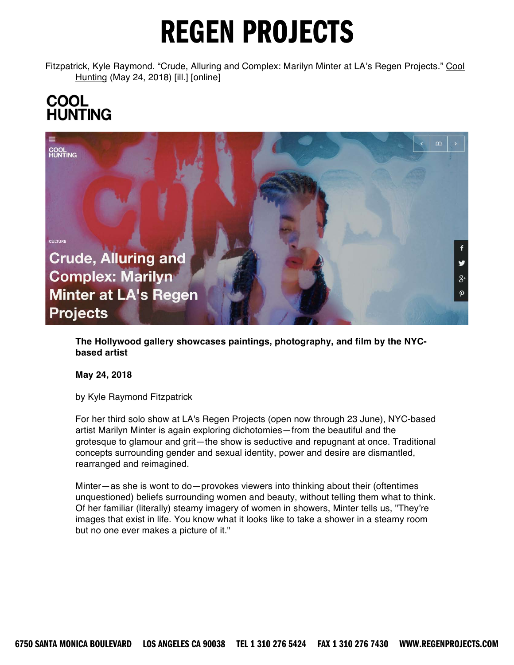Fitzpatrick, Kyle Raymond. "Crude, Alluring and Complex: Marilyn Minter at LA's Regen Projects." Cool Hunting (May 24, 2018) [ill.] [online]

# **COOL**<br>HUNTING



**The Hollywood gallery showcases paintings, photography, and film by the NYCbased artist**

**May 24, 2018**

by Kyle Raymond Fitzpatrick

For her third solo show at LA's Regen Projects (open now through 23 June), NYC-based artist Marilyn Minter is again exploring dichotomies—from the beautiful and the grotesque to glamour and grit—the show is seductive and repugnant at once. Traditional concepts surrounding gender and sexual identity, power and desire are dismantled, rearranged and reimagined.

Minter—as she is wont to do—provokes viewers into thinking about their (oftentimes unquestioned) beliefs surrounding women and beauty, without telling them what to think. Of her familiar (literally) steamy imagery of women in showers, Minter tells us, "They're images that exist in life. You know what it looks like to take a shower in a steamy room but no one ever makes a picture of it."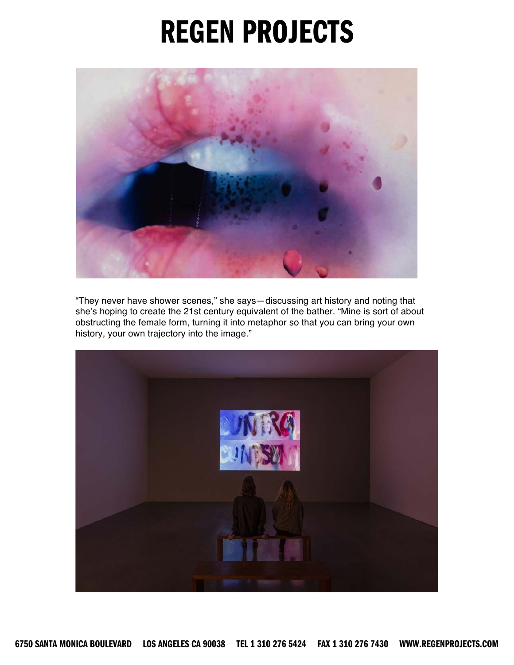

"They never have shower scenes," she says—discussing art history and noting that she's hoping to create the 21st century equivalent of the bather. "Mine is sort of about obstructing the female form, turning it into metaphor so that you can bring your own history, your own trajectory into the image."

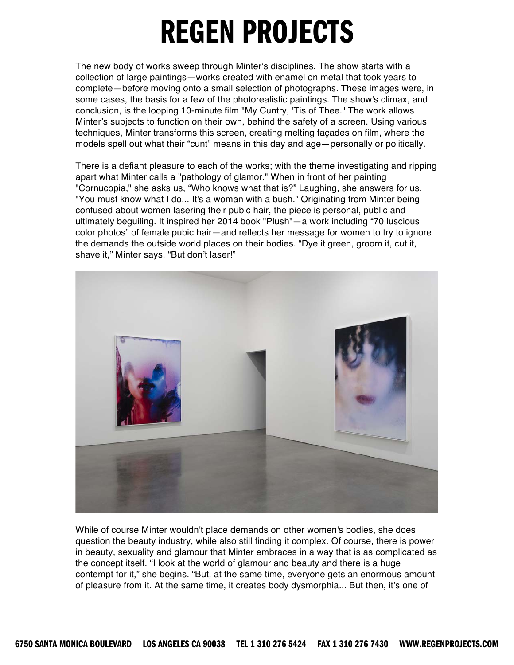The new body of works sweep through Minter's disciplines. The show starts with a collection of large paintings—works created with enamel on metal that took years to complete—before moving onto a small selection of photographs. These images were, in some cases, the basis for a few of the photorealistic paintings. The show's climax, and conclusion, is the looping 10-minute film "My Cuntry, 'Tis of Thee." The work allows Minter's subjects to function on their own, behind the safety of a screen. Using various techniques, Minter transforms this screen, creating melting façades on film, where the models spell out what their "cunt" means in this day and age—personally or politically.

There is a defiant pleasure to each of the works; with the theme investigating and ripping apart what Minter calls a "pathology of glamor." When in front of her painting "Cornucopia," she asks us, "Who knows what that is?" Laughing, she answers for us, "You must know what I do... It's a woman with a bush." Originating from Minter being confused about women lasering their pubic hair, the piece is personal, public and ultimately beguiling. It inspired her 2014 book "Plush"—a work including "70 luscious color photos" of female pubic hair—and reflects her message for women to try to ignore the demands the outside world places on their bodies. "Dye it green, groom it, cut it, shave it," Minter says. "But don't laser!"



While of course Minter wouldn't place demands on other women's bodies, she does question the beauty industry, while also still finding it complex. Of course, there is power in beauty, sexuality and glamour that Minter embraces in a way that is as complicated as the concept itself. "I look at the world of glamour and beauty and there is a huge contempt for it," she begins. "But, at the same time, everyone gets an enormous amount of pleasure from it. At the same time, it creates body dysmorphia... But then, it's one of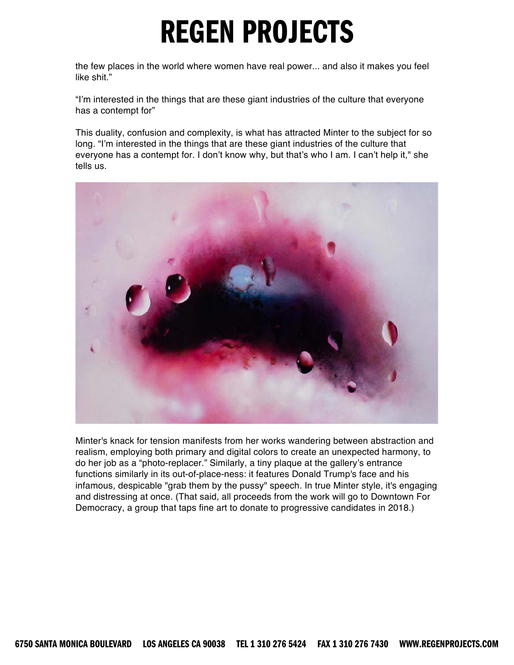the few places in the world where women have real power... and also it makes you feel like shit."

"I'm interested in the things that are these giant industries of the culture that everyone has a contempt for"

This duality, confusion and complexity, is what has attracted Minter to the subject for so long. "I'm interested in the things that are these giant industries of the culture that everyone has a contempt for. I don't know why, but that's who I am. I can't help it," she tells us.



Minter's knack for tension manifests from her works wandering between abstraction and realism, employing both primary and digital colors to create an unexpected harmony, to do her job as a "photo-replacer." Similarly, a tiny plaque at the gallery's entrance functions similarly in its out-of-place-ness: it features Donald Trump's face and his infamous, despicable "grab them by the pussy" speech. In true Minter style, it's engaging and distressing at once. (That said, all proceeds from the work will go to Downtown For Democracy, a group that taps fine art to donate to progressive candidates in 2018.)